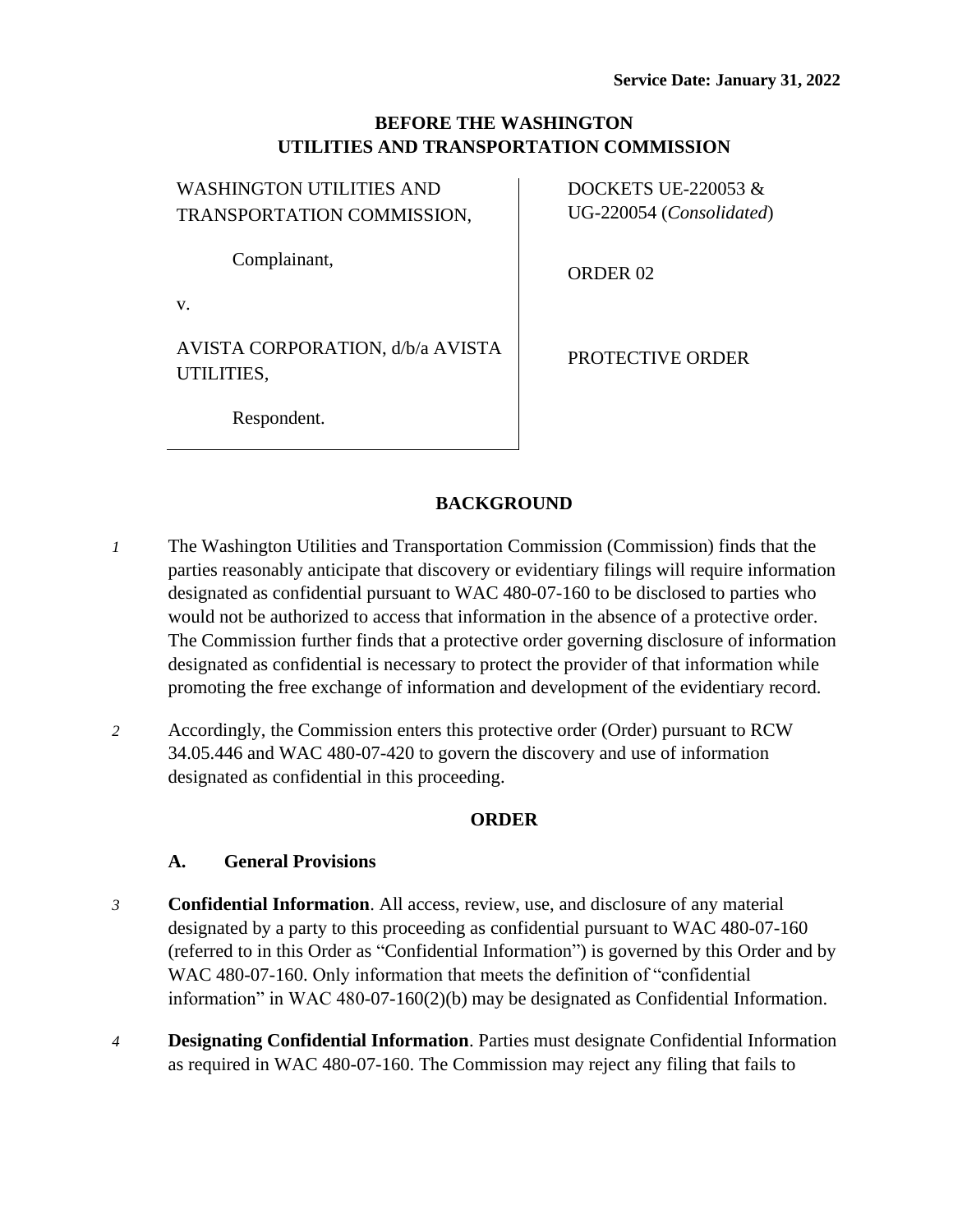## **BEFORE THE WASHINGTON UTILITIES AND TRANSPORTATION COMMISSION**

 $\mathbf{I}$ 

| WASHINGTON UTILITIES AND                       | DOCKETS UE-220053       |
|------------------------------------------------|-------------------------|
| TRANSPORTATION COMMISSION,                     | UG-220054 (Consolidat   |
| Complainant,                                   | ORDER <sub>02</sub>     |
| V.                                             |                         |
| AVISTA CORPORATION, d/b/a AVISTA<br>UTILITIES, | <b>PROTECTIVE ORDER</b> |
| Respondent.                                    |                         |

 $W$ 

DOCKETS UE-220053 & solidated)

**BACKGROUND**

- *1* The Washington Utilities and Transportation Commission (Commission) finds that the parties reasonably anticipate that discovery or evidentiary filings will require information designated as confidential pursuant to WAC 480-07-160 to be disclosed to parties who would not be authorized to access that information in the absence of a protective order. The Commission further finds that a protective order governing disclosure of information designated as confidential is necessary to protect the provider of that information while promoting the free exchange of information and development of the evidentiary record.
- *2* Accordingly, the Commission enters this protective order (Order) pursuant to RCW 34.05.446 and WAC 480-07-420 to govern the discovery and use of information designated as confidential in this proceeding.

### **ORDER**

### **A. General Provisions**

- *3* **Confidential Information**. All access, review, use, and disclosure of any material designated by a party to this proceeding as confidential pursuant to WAC 480-07-160 (referred to in this Order as "Confidential Information") is governed by this Order and by WAC 480-07-160. Only information that meets the definition of "confidential information" in WAC 480-07-160(2)(b) may be designated as Confidential Information.
- *4* **Designating Confidential Information**. Parties must designate Confidential Information as required in WAC 480-07-160. The Commission may reject any filing that fails to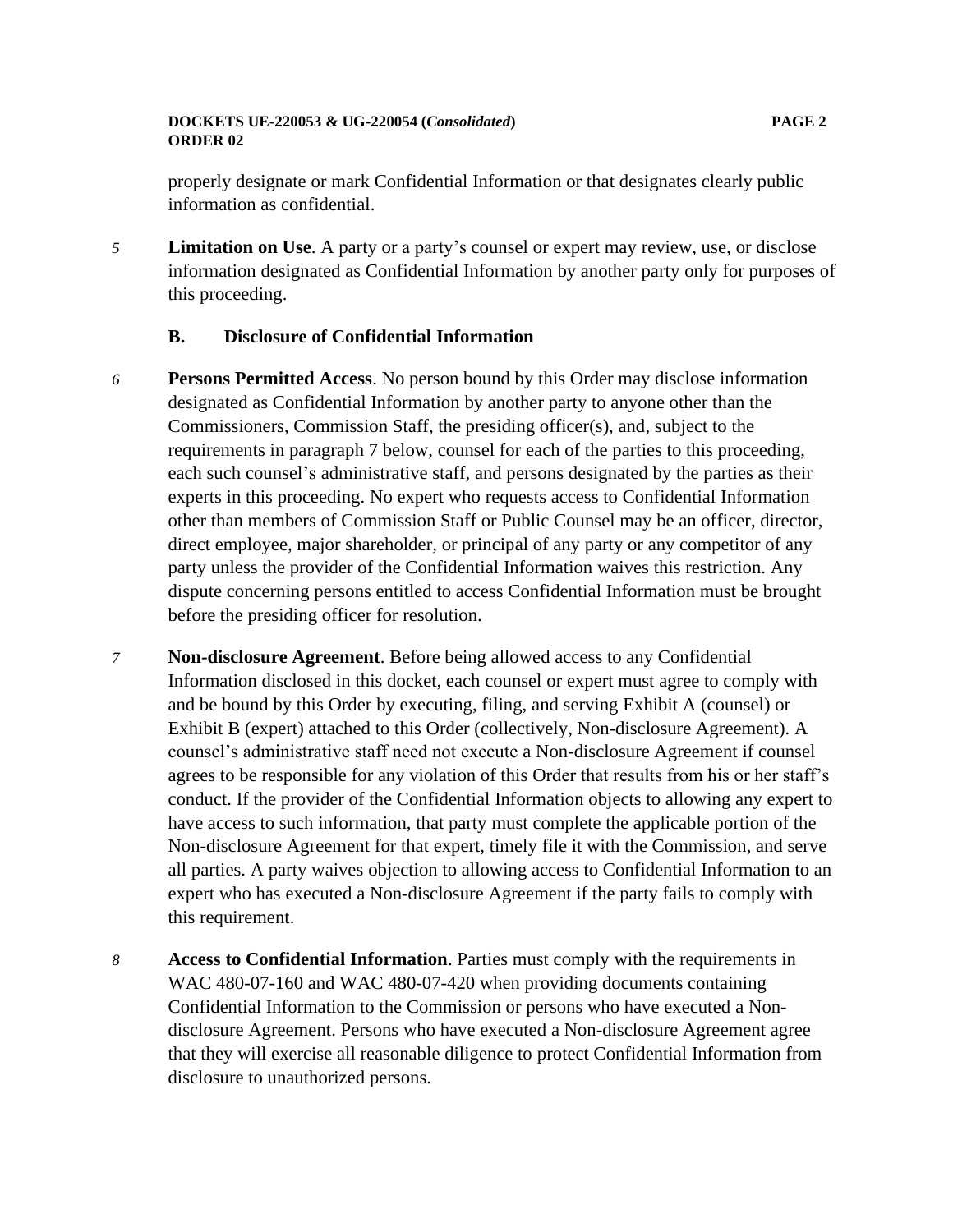### **DOCKETS UE-220053 & UG-220054 (***Consolidated***) PAGE 2 ORDER 02**

properly designate or mark Confidential Information or that designates clearly public information as confidential.

*5* **Limitation on Use**. A party or a party's counsel or expert may review, use, or disclose information designated as Confidential Information by another party only for purposes of this proceeding.

### **B. Disclosure of Confidential Information**

- *6* **Persons Permitted Access**. No person bound by this Order may disclose information designated as Confidential Information by another party to anyone other than the Commissioners, Commission Staff, the presiding officer(s), and, subject to the requirements in paragraph 7 below, counsel for each of the parties to this proceeding, each such counsel's administrative staff, and persons designated by the parties as their experts in this proceeding. No expert who requests access to Confidential Information other than members of Commission Staff or Public Counsel may be an officer, director, direct employee, major shareholder, or principal of any party or any competitor of any party unless the provider of the Confidential Information waives this restriction. Any dispute concerning persons entitled to access Confidential Information must be brought before the presiding officer for resolution.
- *7* **Non-disclosure Agreement**. Before being allowed access to any Confidential Information disclosed in this docket, each counsel or expert must agree to comply with and be bound by this Order by executing, filing, and serving Exhibit A (counsel) or Exhibit B (expert) attached to this Order (collectively, Non-disclosure Agreement). A counsel's administrative staff need not execute a Non-disclosure Agreement if counsel agrees to be responsible for any violation of this Order that results from his or her staff's conduct. If the provider of the Confidential Information objects to allowing any expert to have access to such information, that party must complete the applicable portion of the Non-disclosure Agreement for that expert, timely file it with the Commission, and serve all parties. A party waives objection to allowing access to Confidential Information to an expert who has executed a Non-disclosure Agreement if the party fails to comply with this requirement.
- *8* **Access to Confidential Information**. Parties must comply with the requirements in WAC 480-07-160 and WAC 480-07-420 when providing documents containing Confidential Information to the Commission or persons who have executed a Nondisclosure Agreement. Persons who have executed a Non-disclosure Agreement agree that they will exercise all reasonable diligence to protect Confidential Information from disclosure to unauthorized persons.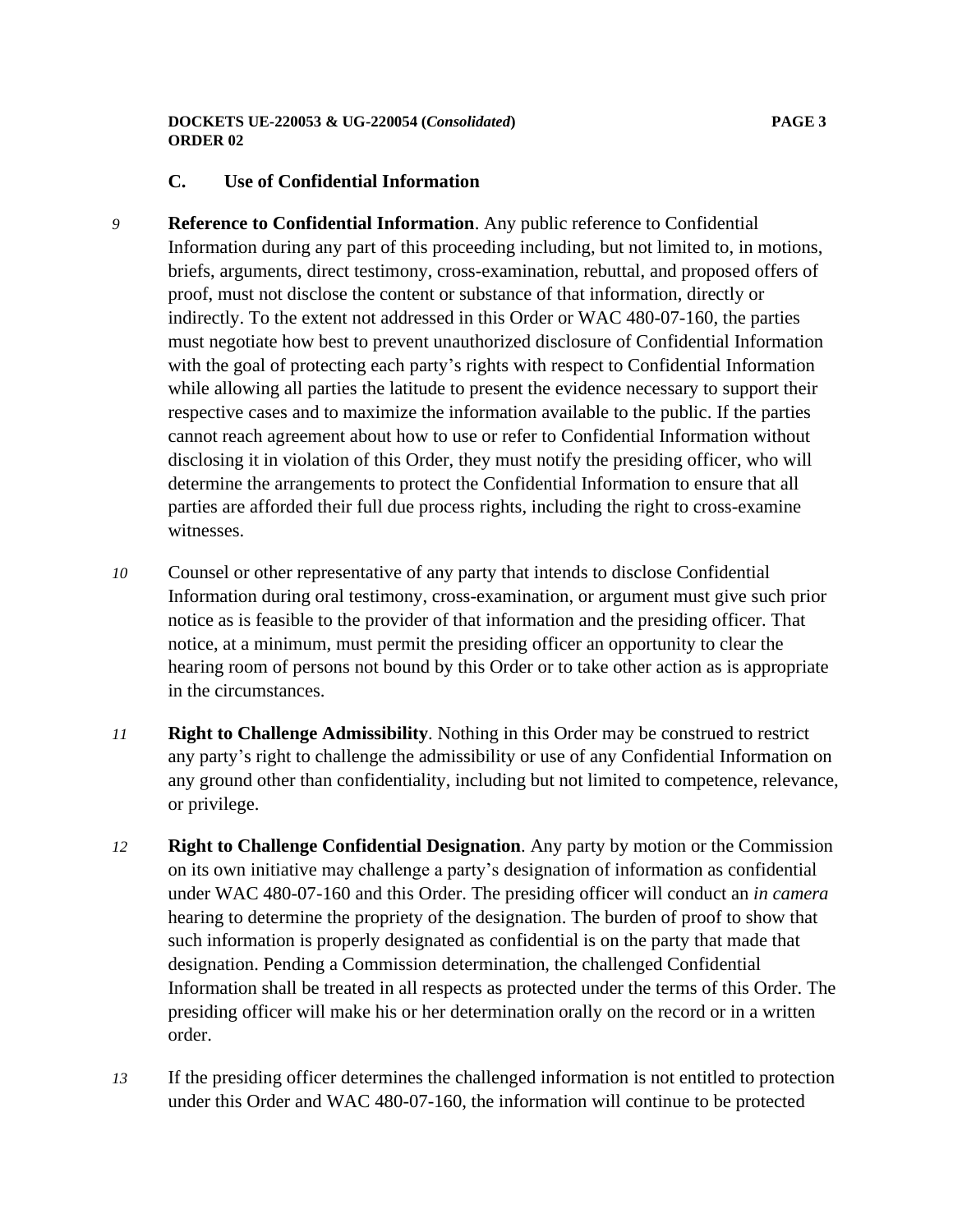#### **DOCKETS UE-220053 & UG-220054 (***Consolidated***) PAGE 3 ORDER 02**

## **C. Use of Confidential Information**

- *9* **Reference to Confidential Information**. Any public reference to Confidential Information during any part of this proceeding including, but not limited to, in motions, briefs, arguments, direct testimony, cross-examination, rebuttal, and proposed offers of proof, must not disclose the content or substance of that information, directly or indirectly. To the extent not addressed in this Order or WAC 480-07-160, the parties must negotiate how best to prevent unauthorized disclosure of Confidential Information with the goal of protecting each party's rights with respect to Confidential Information while allowing all parties the latitude to present the evidence necessary to support their respective cases and to maximize the information available to the public. If the parties cannot reach agreement about how to use or refer to Confidential Information without disclosing it in violation of this Order, they must notify the presiding officer, who will determine the arrangements to protect the Confidential Information to ensure that all parties are afforded their full due process rights, including the right to cross-examine witnesses.
- *10* Counsel or other representative of any party that intends to disclose Confidential Information during oral testimony, cross-examination, or argument must give such prior notice as is feasible to the provider of that information and the presiding officer. That notice, at a minimum, must permit the presiding officer an opportunity to clear the hearing room of persons not bound by this Order or to take other action as is appropriate in the circumstances.
- *11* **Right to Challenge Admissibility**. Nothing in this Order may be construed to restrict any party's right to challenge the admissibility or use of any Confidential Information on any ground other than confidentiality, including but not limited to competence, relevance, or privilege.
- *12* **Right to Challenge Confidential Designation**. Any party by motion or the Commission on its own initiative may challenge a party's designation of information as confidential under WAC 480-07-160 and this Order. The presiding officer will conduct an *in camera* hearing to determine the propriety of the designation. The burden of proof to show that such information is properly designated as confidential is on the party that made that designation. Pending a Commission determination, the challenged Confidential Information shall be treated in all respects as protected under the terms of this Order. The presiding officer will make his or her determination orally on the record or in a written order.
- *13* If the presiding officer determines the challenged information is not entitled to protection under this Order and WAC 480-07-160, the information will continue to be protected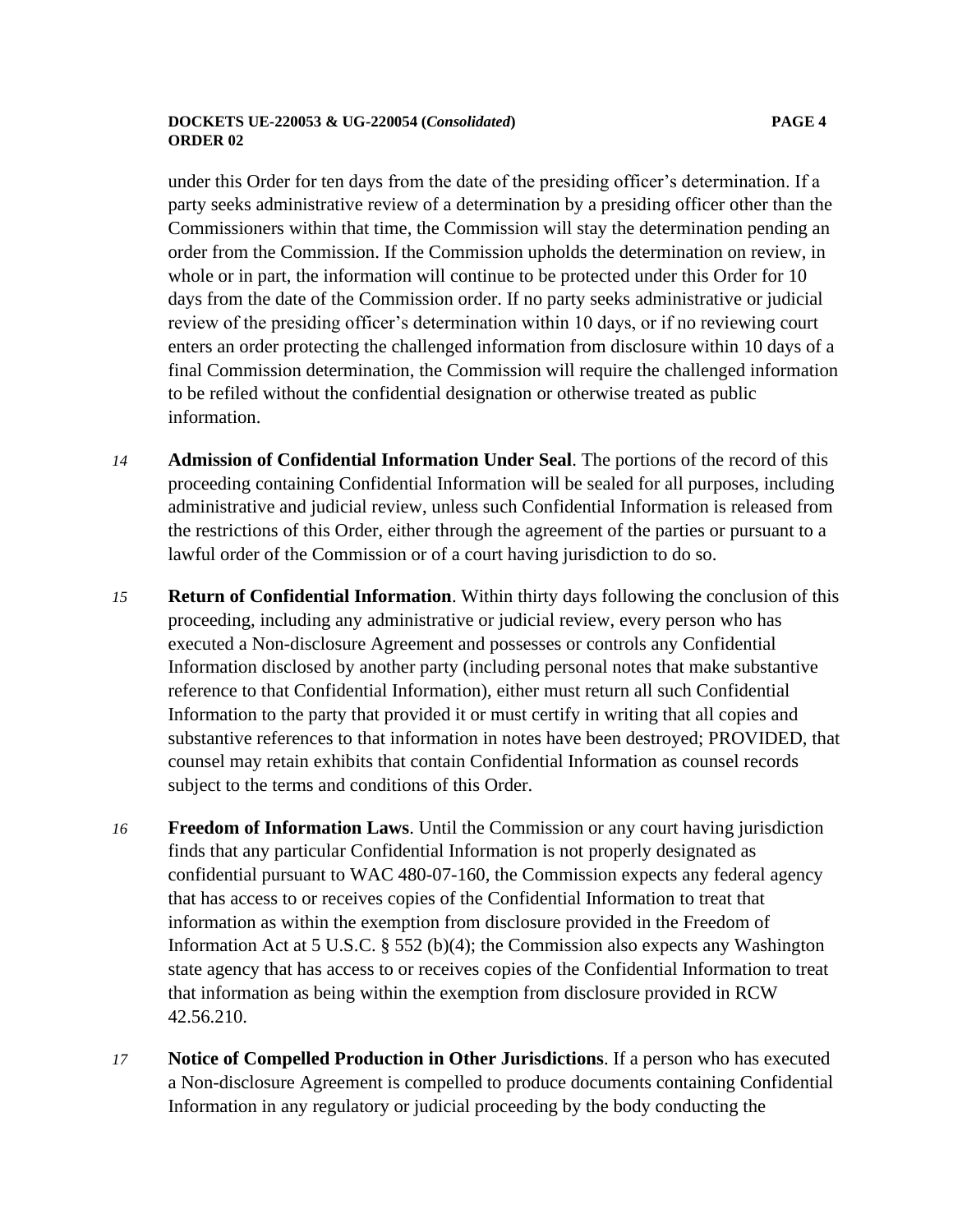#### **DOCKETS UE-220053 & UG-220054 (***Consolidated***) PAGE 4 ORDER 02**

under this Order for ten days from the date of the presiding officer's determination. If a party seeks administrative review of a determination by a presiding officer other than the Commissioners within that time, the Commission will stay the determination pending an order from the Commission. If the Commission upholds the determination on review, in whole or in part, the information will continue to be protected under this Order for 10 days from the date of the Commission order. If no party seeks administrative or judicial review of the presiding officer's determination within 10 days, or if no reviewing court enters an order protecting the challenged information from disclosure within 10 days of a final Commission determination, the Commission will require the challenged information to be refiled without the confidential designation or otherwise treated as public information.

- *14* **Admission of Confidential Information Under Seal**. The portions of the record of this proceeding containing Confidential Information will be sealed for all purposes, including administrative and judicial review, unless such Confidential Information is released from the restrictions of this Order, either through the agreement of the parties or pursuant to a lawful order of the Commission or of a court having jurisdiction to do so.
- *15* **Return of Confidential Information**. Within thirty days following the conclusion of this proceeding, including any administrative or judicial review, every person who has executed a Non-disclosure Agreement and possesses or controls any Confidential Information disclosed by another party (including personal notes that make substantive reference to that Confidential Information), either must return all such Confidential Information to the party that provided it or must certify in writing that all copies and substantive references to that information in notes have been destroyed; PROVIDED, that counsel may retain exhibits that contain Confidential Information as counsel records subject to the terms and conditions of this Order.
- *16* **Freedom of Information Laws**. Until the Commission or any court having jurisdiction finds that any particular Confidential Information is not properly designated as confidential pursuant to WAC 480-07-160, the Commission expects any federal agency that has access to or receives copies of the Confidential Information to treat that information as within the exemption from disclosure provided in the Freedom of Information Act at 5 U.S.C. § 552 (b)(4); the Commission also expects any Washington state agency that has access to or receives copies of the Confidential Information to treat that information as being within the exemption from disclosure provided in RCW 42.56.210.
- *17* **Notice of Compelled Production in Other Jurisdictions**. If a person who has executed a Non-disclosure Agreement is compelled to produce documents containing Confidential Information in any regulatory or judicial proceeding by the body conducting the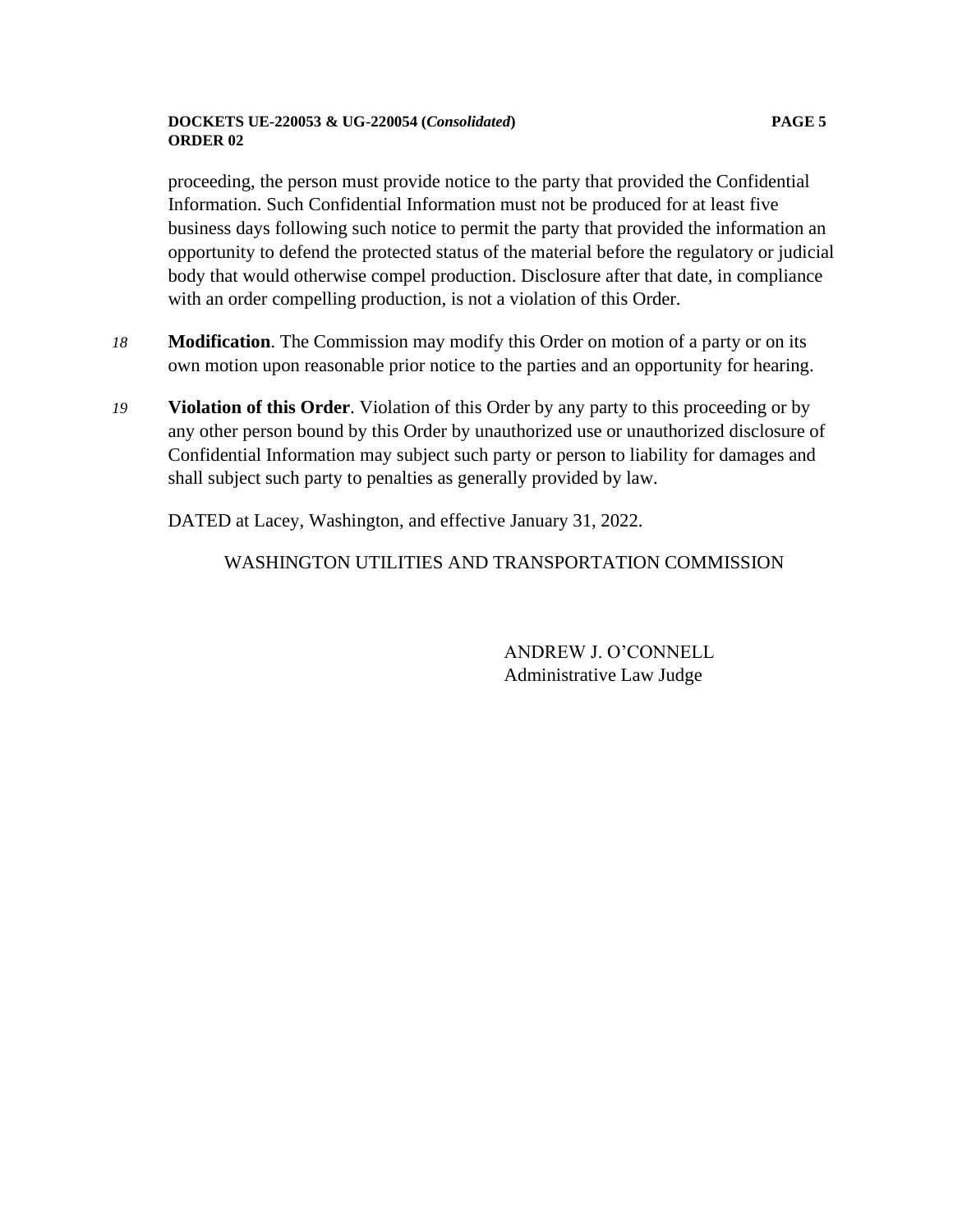#### **DOCKETS UE-220053 & UG-220054 (***Consolidated***) PAGE 5 ORDER 02**

proceeding, the person must provide notice to the party that provided the Confidential Information. Such Confidential Information must not be produced for at least five business days following such notice to permit the party that provided the information an opportunity to defend the protected status of the material before the regulatory or judicial body that would otherwise compel production. Disclosure after that date, in compliance with an order compelling production, is not a violation of this Order.

- *18* **Modification**. The Commission may modify this Order on motion of a party or on its own motion upon reasonable prior notice to the parties and an opportunity for hearing.
- *19* **Violation of this Order**. Violation of this Order by any party to this proceeding or by any other person bound by this Order by unauthorized use or unauthorized disclosure of Confidential Information may subject such party or person to liability for damages and shall subject such party to penalties as generally provided by law.

DATED at Lacey, Washington, and effective January 31, 2022.

WASHINGTON UTILITIES AND TRANSPORTATION COMMISSION

ANDREW J. O'CONNELL Administrative Law Judge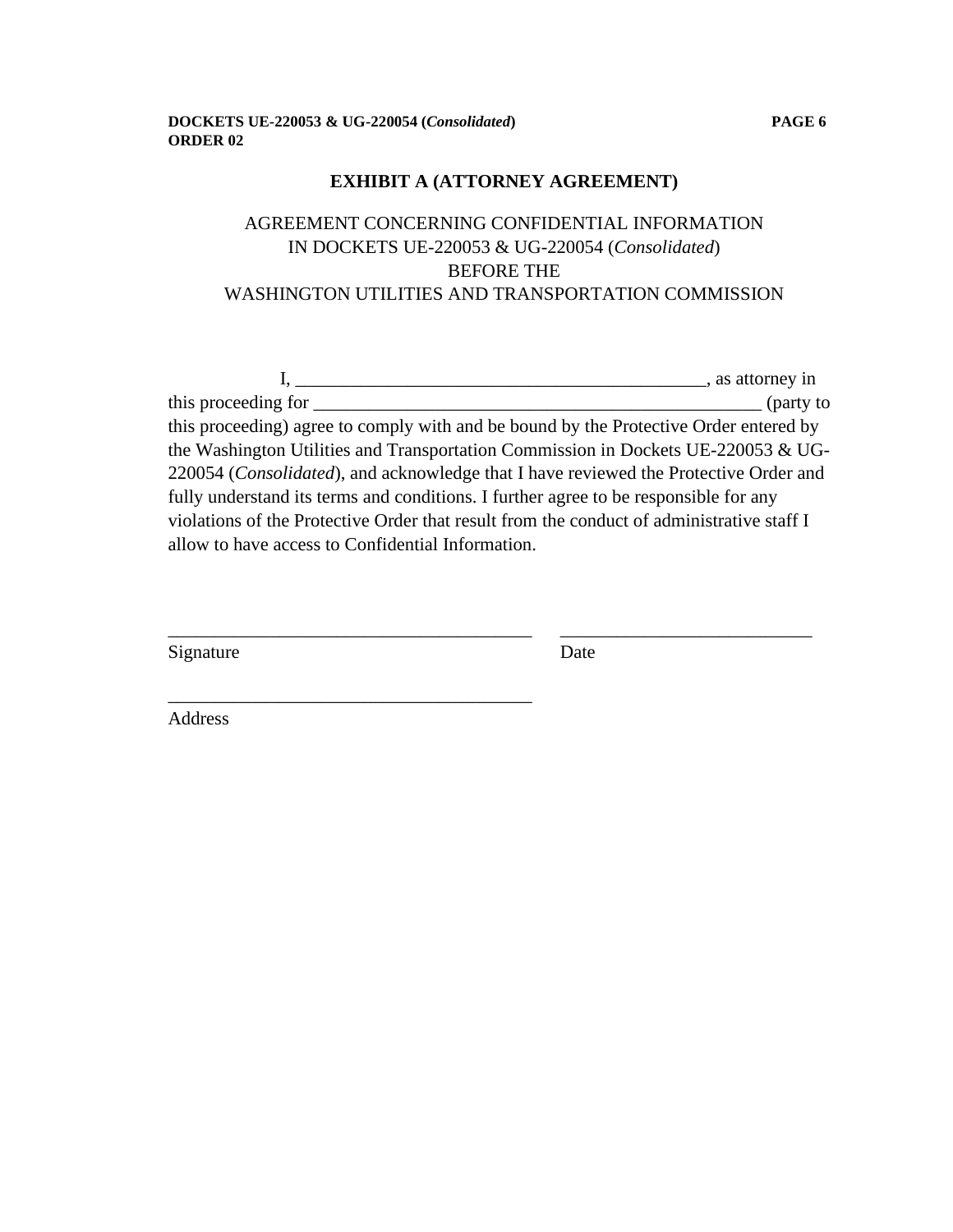\_\_\_\_\_\_\_\_\_\_\_\_\_\_\_\_\_\_\_\_\_\_\_\_\_\_\_\_\_\_\_\_\_\_\_\_\_\_\_

## **EXHIBIT A (ATTORNEY AGREEMENT)**

# AGREEMENT CONCERNING CONFIDENTIAL INFORMATION IN DOCKETS UE-220053 & UG-220054 (*Consolidated*) BEFORE THE WASHINGTON UTILITIES AND TRANSPORTATION COMMISSION

|                                                                                           | s attorney in           |
|-------------------------------------------------------------------------------------------|-------------------------|
| this proceeding for                                                                       | $\frac{1}{2}$ (party to |
| this proceeding) agree to comply with and be bound by the Protective Order entered by     |                         |
| the Washington Utilities and Transportation Commission in Dockets UE-220053 $&$ UG-       |                         |
| 220054 (Consolidated), and acknowledge that I have reviewed the Protective Order and      |                         |
| fully understand its terms and conditions. I further agree to be responsible for any      |                         |
| violations of the Protective Order that result from the conduct of administrative staff I |                         |
| allow to have access to Confidential Information.                                         |                         |
|                                                                                           |                         |

\_\_\_\_\_\_\_\_\_\_\_\_\_\_\_\_\_\_\_\_\_\_\_\_\_\_\_\_\_\_\_\_\_\_\_\_\_\_\_ \_\_\_\_\_\_\_\_\_\_\_\_\_\_\_\_\_\_\_\_\_\_\_\_\_\_\_

| Date |
|------|
|      |

Address